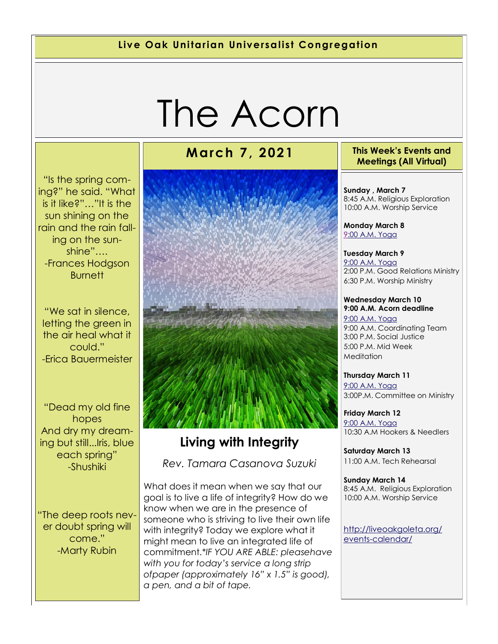### **Live Oak Unitarian Universalist Congregation**

# The Acorn

"Is the spring coming?" he said. "What is it like?"…"It is the sun shining on the rain and the rain falling on the sunshine"…. -Frances Hodgson Burnett

"We sat in silence, letting the green in the air heal what it could." -Erica Bauermeister

"Dead my old fine hopes And dry my dreaming but still...Iris, blue each spring" -Shushiki

"The deep roots never doubt spring will come." -Marty Rubin

# **Living with Integrity**  *Rev. Tamara Casanova Suzuki*

What does it mean when we say that our goal is to live a life of integrity? How do we know when we are in the presence of someone who is striving to live their own life with integrity? Today we explore what it might mean to live an integrated life of commitment.*\*IF YOU ARE ABLE: pleasehave with you for today's service a long strip ofpaper (approximately 16" x 1.5" is good), a pen, and a bit of tape.*

### **March 7, 2021 This Week's Events and Meetings (All Virtual)**

**Sunday , March 7** 8:45 A.M. Religious Exploration 10:00 A.M. Worship Service

**Monday March 8** [9:](https://us02web.zoom.us/meeting/register/tZ0pc-6qrTwqH9WUfmrB_nZu0MWqJ8CyS3Uw)[00 A.M. Yoga](https://us02web.zoom.us/j/86278199291?pwd=WUh1MFJyVXNVOTIyQ1NmanJoSmNXQT09)

**Tuesday March 9** [9:00 A.M. Yoga](https://us02web.zoom.us/meeting/register/tZ0pc-6qrTwqH9WUfmrB_nZu0MWqJ8CyS3Uw)  2:00 P.M. Good Relations Ministry 6:30 P.M. Worship Ministry

### **Wednesday March 10 9:00 A.M. Acorn deadline** [9:00 A.M. Yoga](https://us02web.zoom.us/meeting/register/tZ0pc-6qrTwqH9WUfmrB_nZu0MWqJ8CyS3Uw)

9:00 A.M. Coordinating Team 3:00 P.M. Social Justice 5:00 P.M. Mid Week **Meditation** 

**Thursday March 11** [9:00 A.M. Yoga](https://us02web.zoom.us/meeting/register/tZ0pc-6qrTwqH9WUfmrB_nZu0MWqJ8CyS3Uw)  3:00P.M. Committee on Ministry

**Friday March 12** [9:00 A.M. Yoga](https://us02web.zoom.us/meeting/register/tZ0pc-6qrTwqH9WUfmrB_nZu0MWqJ8CyS3Uw)  10:30 A.M Hookers & Needlers

**Saturday March 13** 11:00 A.M. Tech Rehearsal

**Sunday March 14** 8:45 A.M. Religious Exploration 10:00 A.M. Worship Service

[http://liveoakgoleta.org/](http://liveoakgoleta.org/events-calendar/) [events-calendar/](http://liveoakgoleta.org/events-calendar/)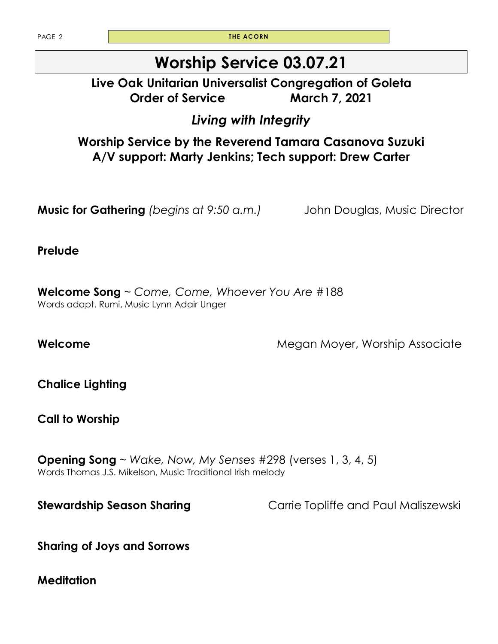PAGE 2 **THE ACORN** 

# **Worship Service 03.07.21**

# **Live Oak Unitarian Universalist Congregation of Goleta Order of Service March 7, 2021**

# *Living with Integrity*

**Worship Service by the Reverend Tamara Casanova Suzuki A/V support: Marty Jenkins; Tech support: Drew Carter** 

**Music for Gathering** *(begins at 9:50 a.m.)* John Douglas, Music Director

**Prelude**

**Welcome Song** ~ *Come, Come, Whoever You Are* #188 Words adapt. Rumi, Music Lynn Adair Unger

**Welcome Megan Moyer, Worship Associate** 

**Chalice Lighting** 

**Call to Worship** 

**Opening Song** ~ *Wake, Now, My Senses* #298 (verses 1, 3, 4, 5) Words Thomas J.S. Mikelson, Music Traditional Irish melody

**Stewardship Season Sharing Carrie Topliffe and Paul Maliszewski** 

**Sharing of Joys and Sorrows**

**Meditation**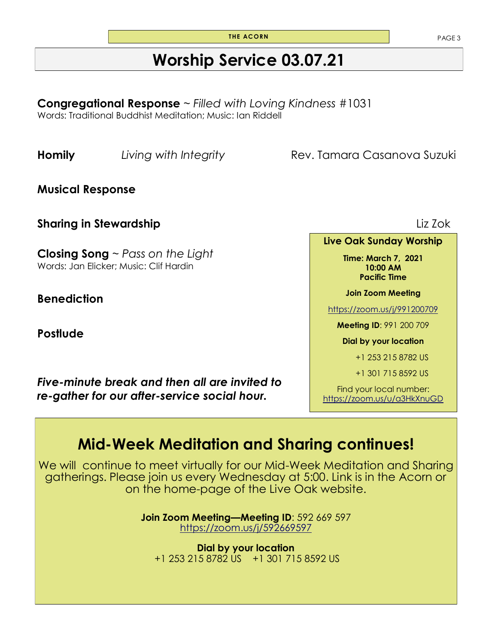**THE ACORN** PAGE 3

# **Worship Service 03.07.21**

**Congregational Response** ~ *Filled with Loving Kindness* #1031 Words: Traditional Buddhist Meditation; Music: Ian Riddell

**Homily** *Living with Integrity Rev. Tamara Casanova Suzuki* 

**Musical Response** 

**Sharing in Stewardship** Liz Zok

**Closing Song** ~ *Pass on the Light* Words: Jan Elicker; Music: Clif Hardin

**Benediction**

**Postlude** 

*Five-minute break and then all are invited to re-gather for our after-service social hour.*

**Live Oak Sunday Worship** 

**Time: March 7, 2021 10:00 AM Pacific Time** 

**Join Zoom Meeting** 

<https://zoom.us/j/991200709>

**Meeting ID**: 991 200 709

**Dial by your location** 

+1 253 215 8782 US

+1 301 715 8592 US

Find your local number: <https://zoom.us/u/a3HkXnuGD>

# **Mid-Week Meditation and Sharing continues!**

We will continue to meet virtually for our Mid-Week Meditation and Sharing gatherings. Please join us every Wednesday at 5:00. Link is in the Acorn or on the home-page of the Live Oak website.

> **Join Zoom Meeting—Meeting ID**: 592 669 597 <https://zoom.us/j/592669597>

**Dial by your location** +1 253 215 8782 US +1 301 715 8592 US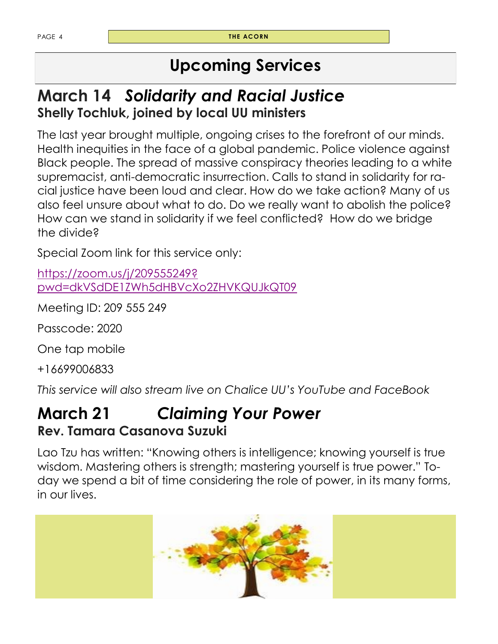# **Upcoming Services**

# **March 14** *Solidarity and Racial Justice* **Shelly Tochluk, joined by local UU ministers**

The last year brought multiple, ongoing crises to the forefront of our minds. Health inequities in the face of a global pandemic. Police violence against Black people. The spread of massive conspiracy theories leading to a white supremacist, anti-democratic insurrection. Calls to stand in solidarity for racial justice have been loud and clear. How do we take action? Many of us also feel unsure about what to do. Do we really want to abolish the police? How can we stand in solidarity if we feel conflicted? How do we bridge the divide?

Special Zoom link for this service only:

[https://zoom.us/j/209555249?](https://zoom.us/j/209555249?pwd=dkVSdDE1ZWh5dHBVcXo2ZHVKQUJkQT09) [pwd=dkVSdDE1ZWh5dHBVcXo2ZHVKQUJkQT09](https://zoom.us/j/209555249?pwd=dkVSdDE1ZWh5dHBVcXo2ZHVKQUJkQT09)

Meeting ID: 209 555 249

Passcode: 2020

One tap mobile

+16699006833

*This service will also stream live on Chalice UU's YouTube and FaceBook*

# **March 21** *Claiming Your Power* **Rev. Tamara Casanova Suzuki**

Lao Tzu has written: "Knowing others is intelligence; knowing yourself is true wisdom. Mastering others is strength; mastering yourself is true power." Today we spend a bit of time considering the role of power, in its many forms, in our lives.

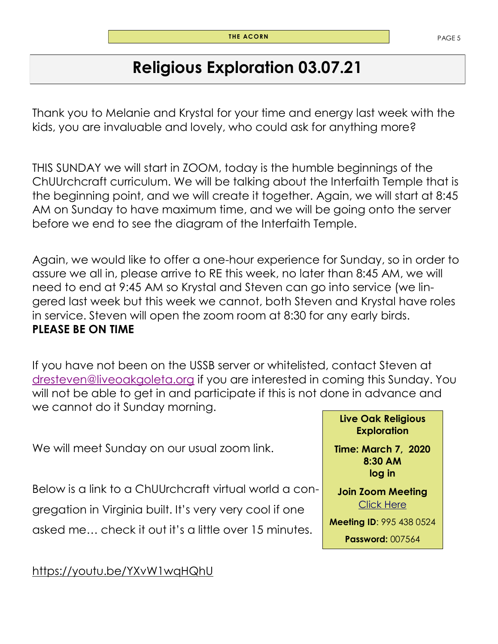# **Religious Exploration 03.07.21**

Thank you to Melanie and Krystal for your time and energy last week with the kids, you are invaluable and lovely, who could ask for anything more?

THIS SUNDAY we will start in ZOOM, today is the humble beginnings of the ChUUrchcraft curriculum. We will be talking about the Interfaith Temple that is the beginning point, and we will create it together. Again, we will start at 8:45 AM on Sunday to have maximum time, and we will be going onto the server before we end to see the diagram of the Interfaith Temple.

Again, we would like to offer a one-hour experience for Sunday, so in order to assure we all in, please arrive to RE this week, no later than 8:45 AM, we will need to end at 9:45 AM so Krystal and Steven can go into service (we lingered last week but this week we cannot, both Steven and Krystal have roles in service. Steven will open the zoom room at 8:30 for any early birds. **PLEASE BE ON TIME** 

If you have not been on the USSB server or whitelisted, contact Steven at [dresteven@liveoakgoleta.org](mailto:dresteven@liveoakgoleta.org) if you are interested in coming this Sunday. You will not be able to get in and participate if this is not done in advance and we cannot do it Sunday morning.

We will meet Sunday on our usual zoom link.

Below is a link to a ChUUrchcraft virtual world a congregation in Virginia built. It's very very cool if one asked me… check it out it's a little over 15 minutes.

https://youtu.be/YXvW1wqHQhU

### **Live Oak Religious Exploration**

**Time: March 7, 2020 8:30 AM log in**

**Join Zoom Meeting**  [Click Here](https://zoom.us/j/9954380524?pwd=UzZORVVKbnhBamtqT2craHE0Y255UT09)

**Meeting ID**: 995 438 0524

**Password:** 007564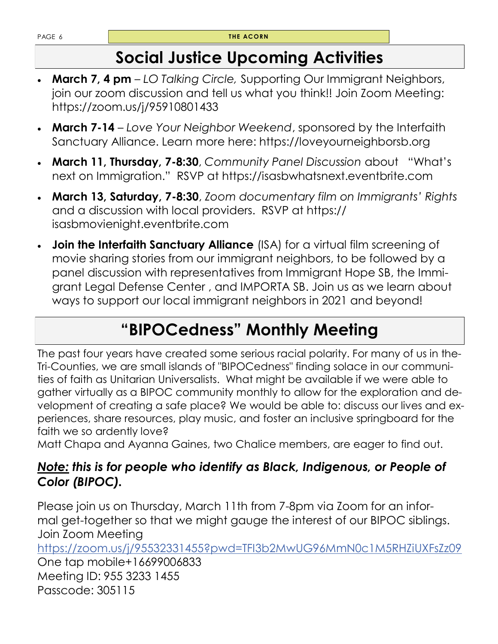# **Social Justice Upcoming Activities**

- **March 7, 4 pm**  *LO Talking Circle,* Supporting Our Immigrant Neighbors, join our zoom discussion and tell us what you think!! Join Zoom Meeting: https://zoom.us/j/95910801433
- **March 7-14**  *Love Your Neighbor Weekend*, sponsored by the Interfaith Sanctuary Alliance. Learn more here: https://loveyourneighborsb.org
- **March 11, Thursday, 7-8:30**, *Community Panel Discussion* about "What's next on Immigration." RSVP at https://isasbwhatsnext.eventbrite.com
- **March 13, Saturday, 7-8:30**, *Zoom documentary film on Immigrants' Rights*  and a discussion with local providers. RSVP at https:// isasbmovienight.eventbrite.com
- **Join the Interfaith Sanctuary Alliance** (ISA) for a virtual film screening of movie sharing stories from our immigrant neighbors, to be followed by a panel discussion with representatives from Immigrant Hope SB, the Immigrant Legal Defense Center , and IMPORTA SB. Join us as we learn about ways to support our local immigrant neighbors in 2021 and beyond!

# **"BIPOCedness" Monthly Meeting**

The past four years have created some serious racial polarity. For many of us in the-Tri-Counties, we are small islands of "BIPOCedness" finding solace in our communities of faith as Unitarian Universalists. What might be available if we were able to gather virtually as a BIPOC community monthly to allow for the exploration and development of creating a safe place? We would be able to: discuss our lives and experiences, share resources, play music, and foster an inclusive springboard for the faith we so ardently love?

Matt Chapa and Ayanna Gaines, two Chalice members, are eager to find out.

# *Note: this is for people who identify as Black, Indigenous, or People of Color (BIPOC).*

Please join us on Thursday, March 11th from 7-8pm via Zoom for an informal get-together so that we might gauge the interest of our BIPOC siblings. Join Zoom Meeting

<https://zoom.us/j/95532331455?pwd=TFI3b2MwUG96MmN0c1M5RHZiUXFsZz09>

One tap mobile+16699006833 Meeting ID: 955 3233 1455 Passcode: 305115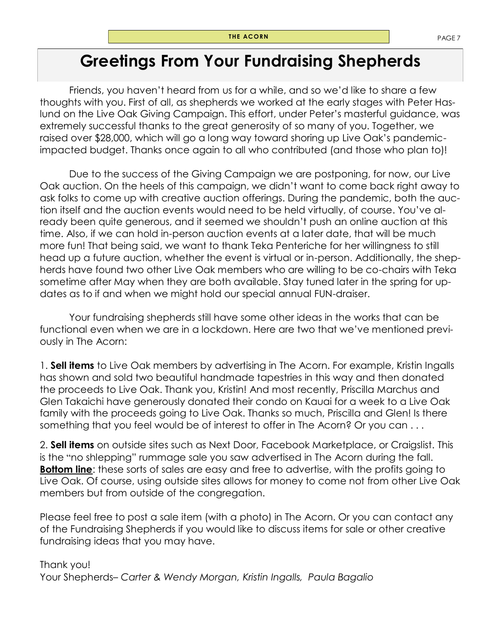# **Greetings From Your Fundraising Shepherds**

Friends, you haven't heard from us for a while, and so we'd like to share a few thoughts with you. First of all, as shepherds we worked at the early stages with Peter Haslund on the Live Oak Giving Campaign. This effort, under Peter's masterful guidance, was extremely successful thanks to the great generosity of so many of you. Together, we raised over \$28,000, which will go a long way toward shoring up Live Oak's pandemicimpacted budget. Thanks once again to all who contributed (and those who plan to)!

Due to the success of the Giving Campaign we are postponing, for now, our Live Oak auction. On the heels of this campaign, we didn't want to come back right away to ask folks to come up with creative auction offerings. During the pandemic, both the auction itself and the auction events would need to be held virtually, of course. You've already been quite generous, and it seemed we shouldn't push an online auction at this time. Also, if we can hold in-person auction events at a later date, that will be much more fun! That being said, we want to thank Teka Penteriche for her willingness to still head up a future auction, whether the event is virtual or in-person. Additionally, the shepherds have found two other Live Oak members who are willing to be co-chairs with Teka sometime after May when they are both available. Stay tuned later in the spring for updates as to if and when we might hold our special annual FUN-draiser.

Your fundraising shepherds still have some other ideas in the works that can be functional even when we are in a lockdown. Here are two that we've mentioned previously in The Acorn:

1. **Sell items** to Live Oak members by advertising in The Acorn. For example, Kristin Ingalls has shown and sold two beautiful handmade tapestries in this way and then donated the proceeds to Live Oak. Thank you, Kristin! And most recently, Priscilla Marchus and Glen Takaichi have generously donated their condo on Kauai for a week to a Live Oak family with the proceeds going to Live Oak. Thanks so much, Priscilla and Glen! Is there something that you feel would be of interest to offer in The Acorn? Or you can . . .

2. **Sell items** on outside sites such as Next Door, Facebook Marketplace, or Craigslist. This is the "no shlepping" rummage sale you saw advertised in The Acorn during the fall. **Bottom line**: these sorts of sales are easy and free to advertise, with the profits going to Live Oak. Of course, using outside sites allows for money to come not from other Live Oak members but from outside of the congregation.

Please feel free to post a sale item (with a photo) in The Acorn. Or you can contact any of the Fundraising Shepherds if you would like to discuss items for sale or other creative fundraising ideas that you may have.

### Thank you!

Your Shepherds– *Carter & Wendy Morgan, Kristin Ingalls, Paula Bagalio*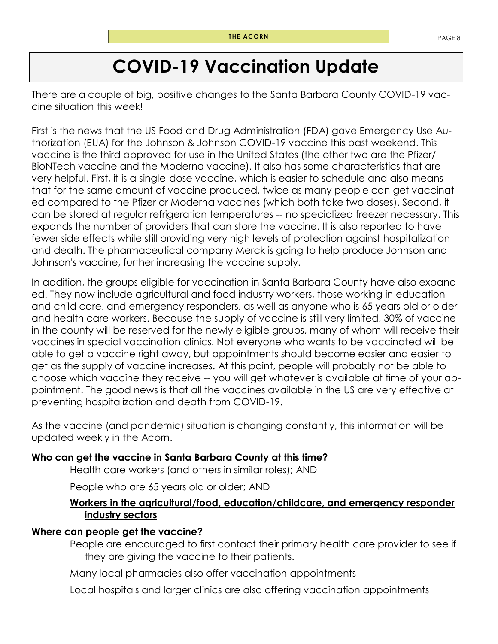# **COVID-19 Vaccination Update**

There are a couple of big, positive changes to the Santa Barbara County COVID-19 vaccine situation this week!

First is the news that the US Food and Drug Administration (FDA) gave Emergency Use Authorization (EUA) for the Johnson & Johnson COVID-19 vaccine this past weekend. This vaccine is the third approved for use in the United States (the other two are the Pfizer/ BioNTech vaccine and the Moderna vaccine). It also has some characteristics that are very helpful. First, it is a single-dose vaccine, which is easier to schedule and also means that for the same amount of vaccine produced, twice as many people can get vaccinated compared to the Pfizer or Moderna vaccines (which both take two doses). Second, it can be stored at regular refrigeration temperatures -- no specialized freezer necessary. This expands the number of providers that can store the vaccine. It is also reported to have fewer side effects while still providing very high levels of protection against hospitalization and death. The pharmaceutical company Merck is going to help produce Johnson and Johnson's vaccine, further increasing the vaccine supply.

In addition, the groups eligible for vaccination in Santa Barbara County have also expanded. They now include agricultural and food industry workers, those working in education and child care, and emergency responders, as well as anyone who is 65 years old or older and health care workers. Because the supply of vaccine is still very limited, 30% of vaccine in the county will be reserved for the newly eligible groups, many of whom will receive their vaccines in special vaccination clinics. Not everyone who wants to be vaccinated will be able to get a vaccine right away, but appointments should become easier and easier to get as the supply of vaccine increases. At this point, people will probably not be able to choose which vaccine they receive -- you will get whatever is available at time of your appointment. The good news is that all the vaccines available in the US are very effective at preventing hospitalization and death from COVID-19.

As the vaccine (and pandemic) situation is changing constantly, this information will be updated weekly in the Acorn.

### **Who can get the vaccine in Santa Barbara County at this time?**

Health care workers (and others in similar roles); AND

People who are 65 years old or older; AND

### **Workers in the agricultural/food, education/childcare, and emergency responder industry sectors**

### **Where can people get the vaccine?**

People are encouraged to first contact their primary health care provider to see if they are giving the vaccine to their patients.

Many local pharmacies also offer vaccination appointments

Local hospitals and larger clinics are also offering vaccination appointments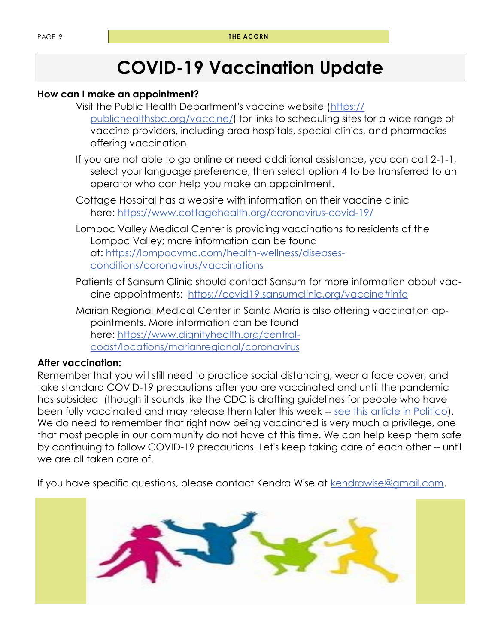# **COVID-19 Vaccination Update**

### **How can I make an appointment?**

- Visit the Public Health Department's vaccine website [\(https://](https://publichealthsbc.org/vaccine/) [publichealthsbc.org/vaccine/\)](https://publichealthsbc.org/vaccine/) for links to scheduling sites for a wide range of vaccine providers, including area hospitals, special clinics, and pharmacies offering vaccination.
- If you are not able to go online or need additional assistance, you can call 2-1-1, select your language preference, then select option 4 to be transferred to an operator who can help you make an appointment.
- Cottage Hospital has a website with information on their vaccine clinic here: <https://www.cottagehealth.org/coronavirus-covid-19/>
- Lompoc Valley Medical Center is providing vaccinations to residents of the Lompoc Valley; more information can be found at: [https://lompocvmc.com/health-wellness/diseases](https://lompocvmc.com/health-wellness/diseases-conditions/coronavirus/vaccinations)[conditions/coronavirus/vaccinations](https://lompocvmc.com/health-wellness/diseases-conditions/coronavirus/vaccinations)
- Patients of Sansum Clinic should contact Sansum for more information about vaccine appointments: <https://covid19.sansumclinic.org/vaccine#info>
- Marian Regional Medical Center in Santa Maria is also offering vaccination appointments. More information can be found here: [https://www.dignityhealth.org/central](https://www.dignityhealth.org/central-coast/locations/marianregional/coronavirus)[coast/locations/marianregional/coronavirus](https://www.dignityhealth.org/central-coast/locations/marianregional/coronavirus)

### **After vaccination:**

Remember that you will still need to practice social distancing, wear a face cover, and take standard COVID-19 precautions after you are vaccinated and until the pandemic has subsided (though it sounds like the CDC is drafting guidelines for people who have been fully vaccinated and may release them later this week -- [see this article in Politico\)](https://www.politico.com/news/2021/03/02/cdc-draft-guidelines-for-vaccinated-americans-472451). We do need to remember that right now being vaccinated is very much a privilege, one that most people in our community do not have at this time. We can help keep them safe by continuing to follow COVID-19 precautions. Let's keep taking care of each other -- until we are all taken care of.

If you have specific questions, please contact Kendra Wise at [kendrawise@gmail.com.](mailto:kendrawise@gmail.com)

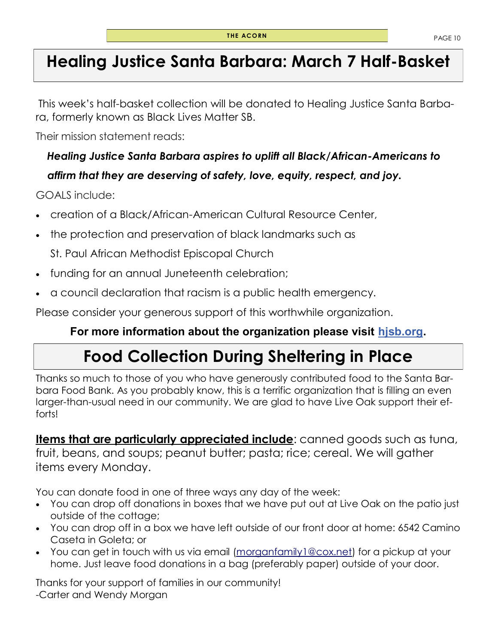# **Healing Justice Santa Barbara: March 7 Half-Basket**

This week's half-basket collection will be donated to Healing Justice Santa Barbara, formerly known as Black Lives Matter SB.

Their mission statement reads:

# *Healing Justice Santa Barbara aspires to uplift all Black/African-Americans to affirm that they are deserving of safety, love, equity, respect, and joy.*

GOALS include:

- creation of a Black/African-American Cultural Resource Center,
- the protection and preservation of black landmarks such as

[St. Paul African Methodist Episcopal Church](https://www.noozhawk.com/article/choosing_santa_barbaras_historic_resources_st._pauls_ame_church)

- funding for an annual Juneteenth celebration;
- a council declaration that racism is a public health emergency.

Please consider your generous support of this worthwhile organization.

## **For more information about the organization please visit [hjsb.org.](http://hjsb.org/)**

# **Food Collection During Sheltering in Place**

Thanks so much to those of you who have generously contributed food to the Santa Barbara Food Bank. As you probably know, this is a terrific organization that is filling an even larger-than-usual need in our community. We are glad to have Live Oak support their efforts!

**Items that are particularly appreciated include**: canned goods such as tuna, fruit, beans, and soups; peanut butter; pasta; rice; cereal. We will gather items every Monday.

You can donate food in one of three ways any day of the week:

- You can drop off donations in boxes that we have put out at Live Oak on the patio just outside of the cottage;
- You can drop off in a box we have left outside of our front door at home: 6542 Camino Caseta in Goleta; or
- You can get in touch with us via email (morganfamily 1@cox.net) for a pickup at your home. Just leave food donations in a bag (preferably paper) outside of your door.

Thanks for your support of families in our community! -Carter and Wendy Morgan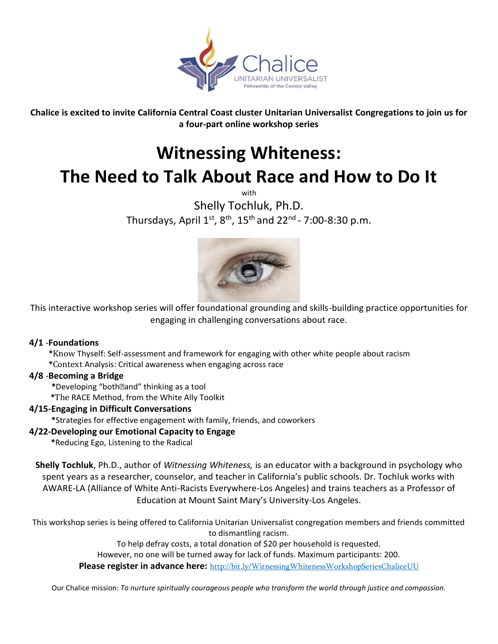

**Chalice is excited to invite California Central Coast cluster Unitarian Universalist Congregations to join us for a four-part online workshop series**

# **Witnessing Whiteness: The Need to Talk About Race and How to Do It**

with

Shelly Tochluk, Ph.D. Thursdays, April  $1^\text{st}$ ,  $8^\text{th}$ ,  $15^\text{th}$  and 22 $^\text{nd}$  - 7:00-8:30 p.m.



This interactive workshop series will offer foundational grounding and skills-building practice opportunities for engaging in challenging conversations about race.

### **4/1** -**Foundations**

 **\***Know Thyself: Self-assessment and framework for engaging with other white people about racism **\***Context Analysis: Critical awareness when engaging across race

### **4/8** -**Becoming a Bridge**

 **\***Developing "bothand" thinking as a tool

**\***The RACE Method, from the White Ally Toolkit

### **4/15-Engaging in Difficult Conversations**

 **\***Strategies for effective engagement with family, friends, and coworkers

### **4/22-Developing our Emotional Capacity to Engage**

 **\***Reducing Ego, Listening to the Radical

**Shelly Tochluk**, Ph.D., author of *Witnessing Whiteness,* is an educator with a background in psychology who spent years as a researcher, counselor, and teacher in California's public schools. Dr. Tochluk works with AWARE-LA (Alliance of White Anti-Racists Everywhere-Los Angeles) and trains teachers as a Professor of Education at Mount Saint Mary's University-Los Angeles.

This workshop series is being offered to California Unitarian Universalist congregation members and friends committed to dismantling racism.

To help defray costs, a total donation of \$20 per household is requested.

However, no one will be turned away for lack of funds. Maximum participants: 200.

**Please register in advance here:** http://bit.ly/WitnessingWhitenessWorkshopSeriesChaliceUU

Our Chalice mission: *To nurture spiritually courageous people who transform the world through justice and compassion.*